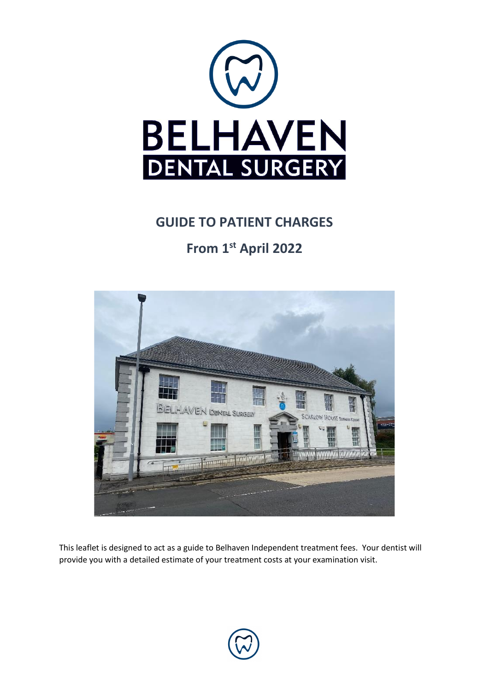

## **GUIDE TO PATIENT CHARGES**

# **From 1st April 2022**



This leaflet is designed to act as a guide to Belhaven Independent treatment fees. Your dentist will provide you with a detailed estimate of your treatment costs at your examination visit.

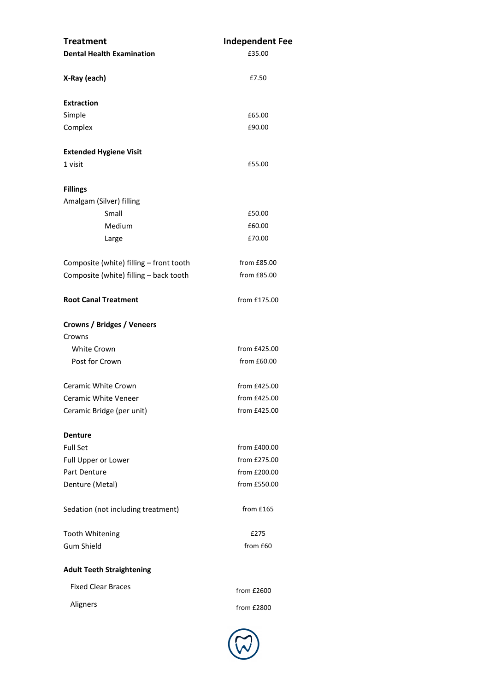| <b>Treatment</b>                        | <b>Independent Fee</b> |  |
|-----------------------------------------|------------------------|--|
| <b>Dental Health Examination</b>        | £35.00                 |  |
| X-Ray (each)                            | £7.50                  |  |
| <b>Extraction</b>                       |                        |  |
| Simple                                  | £65.00                 |  |
| Complex                                 | £90.00                 |  |
| <b>Extended Hygiene Visit</b>           |                        |  |
| 1 visit                                 | £55.00                 |  |
| <b>Fillings</b>                         |                        |  |
| Amalgam (Silver) filling                |                        |  |
| Small                                   | £50.00                 |  |
| Medium                                  | £60.00                 |  |
| Large                                   | £70.00                 |  |
| Composite (white) filling - front tooth | from £85.00            |  |
| Composite (white) filling - back tooth  | from £85.00            |  |
| <b>Root Canal Treatment</b>             | from £175.00           |  |
| <b>Crowns / Bridges / Veneers</b>       |                        |  |
| Crowns                                  |                        |  |
| <b>White Crown</b>                      | from £425.00           |  |
| Post for Crown                          | from £60.00            |  |
| Ceramic White Crown                     | from £425.00           |  |
| Ceramic White Veneer                    | from £425.00           |  |
| Ceramic Bridge (per unit)               | from £425.00           |  |
| <b>Denture</b>                          |                        |  |
| <b>Full Set</b>                         | from £400.00           |  |
| Full Upper or Lower                     | from £275.00           |  |
| Part Denture                            | from £200.00           |  |
| Denture (Metal)                         | from £550.00           |  |
| Sedation (not including treatment)      | from £165              |  |
| <b>Tooth Whitening</b>                  | £275                   |  |
| <b>Gum Shield</b>                       | from £60               |  |
| <b>Adult Teeth Straightening</b>        |                        |  |
| <b>Fixed Clear Braces</b>               | from £2600             |  |
| Aligners                                | from £2800             |  |
|                                         |                        |  |

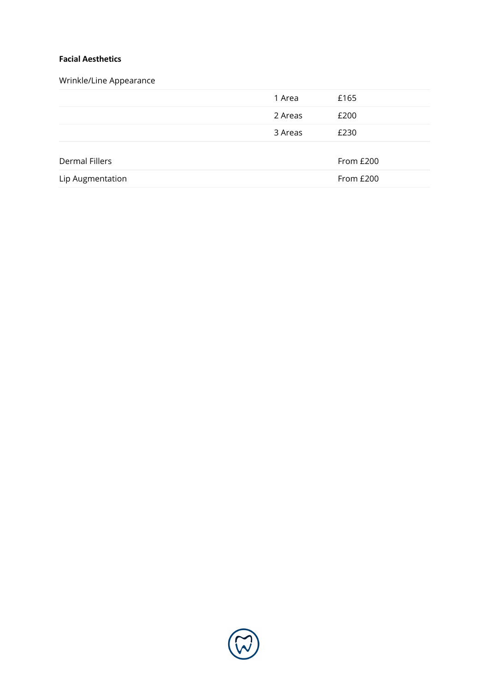#### **Facial Aesthetics**

### Wrinkle/Line Appearance

|                  | 1 Area  | £165      |
|------------------|---------|-----------|
|                  | 2 Areas | £200      |
|                  | 3 Areas | £230      |
| Dermal Fillers   |         | From £200 |
| Lip Augmentation |         | From £200 |

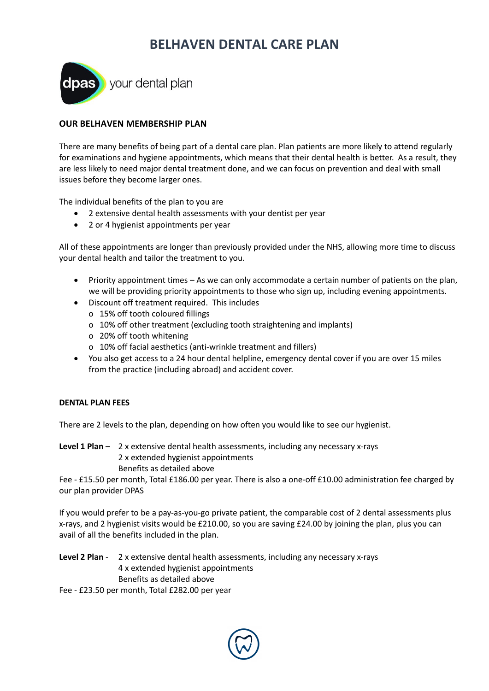## **BELHAVEN DENTAL CARE PLAN**



**dpas** your dental plan

#### **OUR BELHAVEN MEMBERSHIP PLAN**

There are many benefits of being part of a dental care plan. Plan patients are more likely to attend regularly for examinations and hygiene appointments, which means that their dental health is better. As a result, they are less likely to need major dental treatment done, and we can focus on prevention and deal with small issues before they become larger ones.

The individual benefits of the plan to you are

- 2 extensive dental health assessments with your dentist per year
- 2 or 4 hygienist appointments per year

All of these appointments are longer than previously provided under the NHS, allowing more time to discuss your dental health and tailor the treatment to you.

- Priority appointment times As we can only accommodate a certain number of patients on the plan, we will be providing priority appointments to those who sign up, including evening appointments.
- Discount off treatment required. This includes
	- o 15% off tooth coloured fillings
	- o 10% off other treatment (excluding tooth straightening and implants)
	- o 20% off tooth whitening
	- o 10% off facial aesthetics (anti-wrinkle treatment and fillers)
- You also get access to a 24 hour dental helpline, emergency dental cover if you are over 15 miles from the practice (including abroad) and accident cover.

#### **DENTAL PLAN FEES**

There are 2 levels to the plan, depending on how often you would like to see our hygienist.

**Level 1 Plan** – 2 x extensive dental health assessments, including any necessary x-rays 2 x extended hygienist appointments Benefits as detailed above

Fee - £15.50 per month, Total £186.00 per year. There is also a one-off £10.00 administration fee charged by our plan provider DPAS

If you would prefer to be a pay-as-you-go private patient, the comparable cost of 2 dental assessments plus x-rays, and 2 hygienist visits would be £210.00, so you are saving £24.00 by joining the plan, plus you can avail of all the benefits included in the plan.

**Level 2 Plan** - 2 x extensive dental health assessments, including any necessary x-rays 4 x extended hygienist appointments Benefits as detailed above

Fee - £23.50 per month, Total £282.00 per year